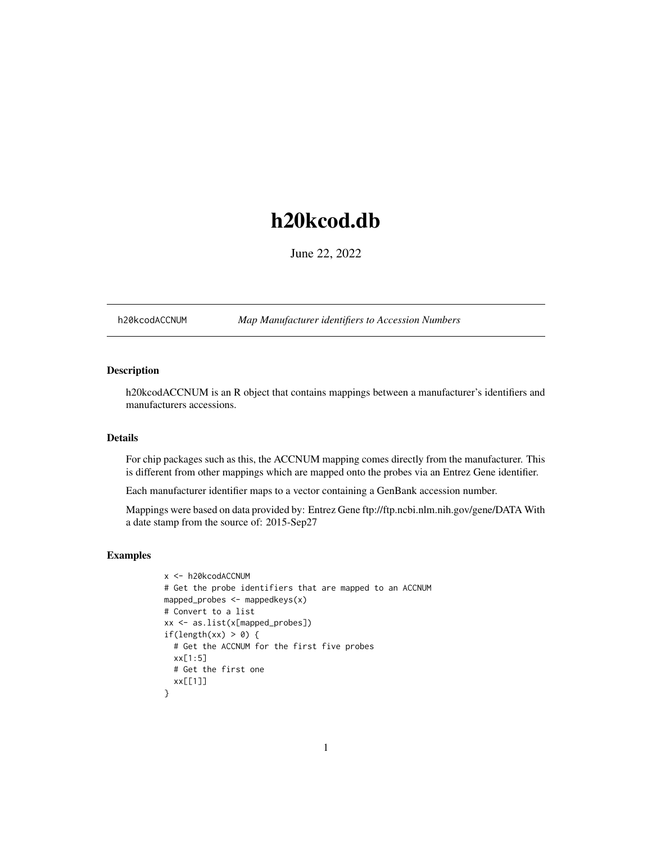# <span id="page-0-1"></span>h20kcod.db

June 22, 2022

<span id="page-0-0"></span>h20kcodACCNUM *Map Manufacturer identifiers to Accession Numbers*

# Description

h20kcodACCNUM is an R object that contains mappings between a manufacturer's identifiers and manufacturers accessions.

# Details

For chip packages such as this, the ACCNUM mapping comes directly from the manufacturer. This is different from other mappings which are mapped onto the probes via an Entrez Gene identifier.

Each manufacturer identifier maps to a vector containing a GenBank accession number.

Mappings were based on data provided by: Entrez Gene ftp://ftp.ncbi.nlm.nih.gov/gene/DATA With a date stamp from the source of: 2015-Sep27

```
x <- h20kcodACCNUM
# Get the probe identifiers that are mapped to an ACCNUM
mapped_probes <- mappedkeys(x)
# Convert to a list
xx <- as.list(x[mapped_probes])
if(length(xx) > 0) {
  # Get the ACCNUM for the first five probes
  xx[1:5]
  # Get the first one
  xx[[1]]
}
```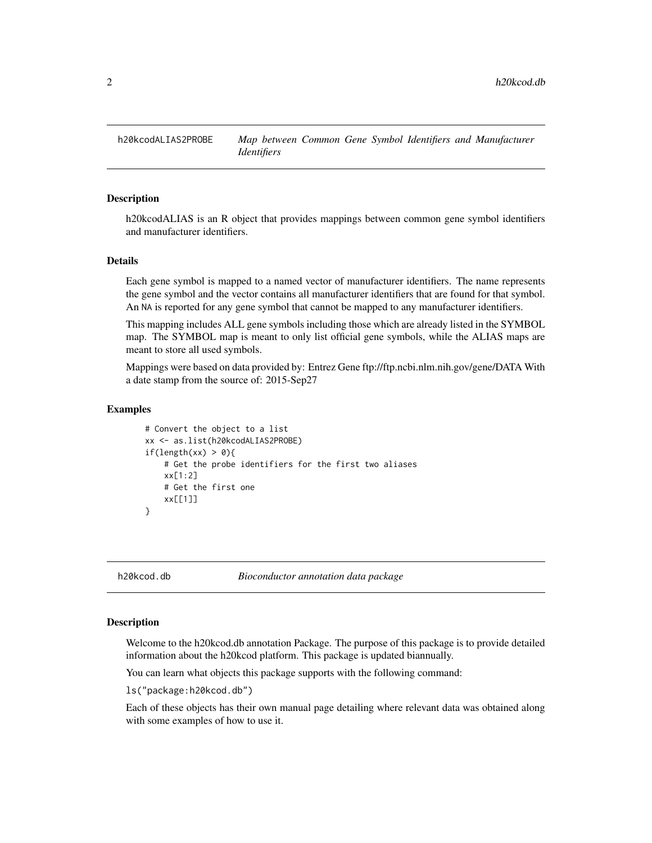<span id="page-1-0"></span>

h20kcodALIAS is an R object that provides mappings between common gene symbol identifiers and manufacturer identifiers.

## Details

Each gene symbol is mapped to a named vector of manufacturer identifiers. The name represents the gene symbol and the vector contains all manufacturer identifiers that are found for that symbol. An NA is reported for any gene symbol that cannot be mapped to any manufacturer identifiers.

This mapping includes ALL gene symbols including those which are already listed in the SYMBOL map. The SYMBOL map is meant to only list official gene symbols, while the ALIAS maps are meant to store all used symbols.

Mappings were based on data provided by: Entrez Gene ftp://ftp.ncbi.nlm.nih.gov/gene/DATA With a date stamp from the source of: 2015-Sep27

## Examples

```
# Convert the object to a list
xx <- as.list(h20kcodALIAS2PROBE)
if(length(xx) > 0){
    # Get the probe identifiers for the first two aliases
   xx[1:2]
   # Get the first one
   xx[[1]]
}
```
h20kcod.db *Bioconductor annotation data package*

## **Description**

Welcome to the h20kcod.db annotation Package. The purpose of this package is to provide detailed information about the h20kcod platform. This package is updated biannually.

You can learn what objects this package supports with the following command:

ls("package:h20kcod.db")

Each of these objects has their own manual page detailing where relevant data was obtained along with some examples of how to use it.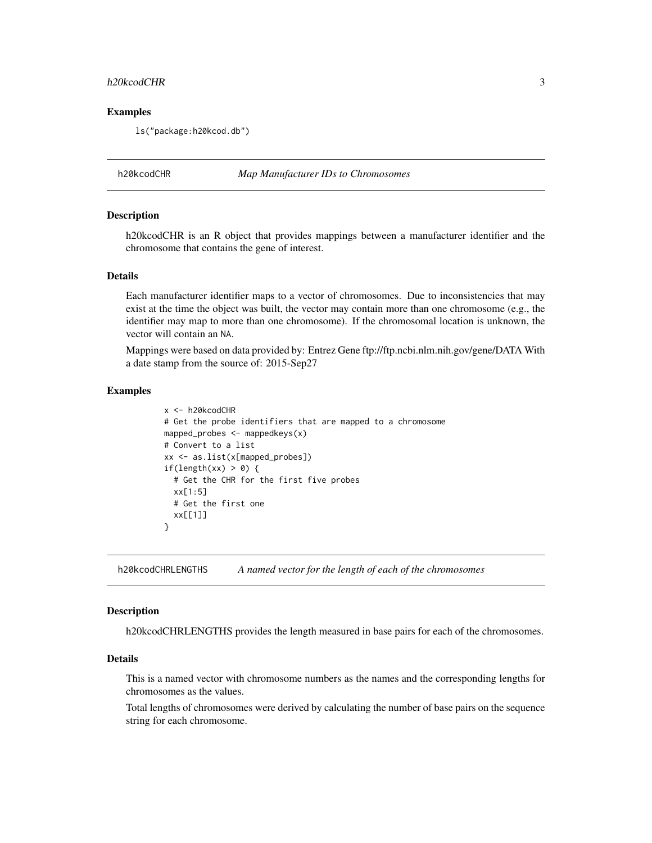# <span id="page-2-0"></span>h20kcodCHR 3

## Examples

ls("package:h20kcod.db")

h20kcodCHR *Map Manufacturer IDs to Chromosomes*

# **Description**

h20kcodCHR is an R object that provides mappings between a manufacturer identifier and the chromosome that contains the gene of interest.

# Details

Each manufacturer identifier maps to a vector of chromosomes. Due to inconsistencies that may exist at the time the object was built, the vector may contain more than one chromosome (e.g., the identifier may map to more than one chromosome). If the chromosomal location is unknown, the vector will contain an NA.

Mappings were based on data provided by: Entrez Gene ftp://ftp.ncbi.nlm.nih.gov/gene/DATA With a date stamp from the source of: 2015-Sep27

## Examples

```
x <- h20kcodCHR
# Get the probe identifiers that are mapped to a chromosome
mapped_probes <- mappedkeys(x)
# Convert to a list
xx <- as.list(x[mapped_probes])
if(length(xx) > 0) {
  # Get the CHR for the first five probes
  xx[1:5]
  # Get the first one
  xx[[1]]
}
```
h20kcodCHRLENGTHS *A named vector for the length of each of the chromosomes*

#### **Description**

h20kcodCHRLENGTHS provides the length measured in base pairs for each of the chromosomes.

# Details

This is a named vector with chromosome numbers as the names and the corresponding lengths for chromosomes as the values.

Total lengths of chromosomes were derived by calculating the number of base pairs on the sequence string for each chromosome.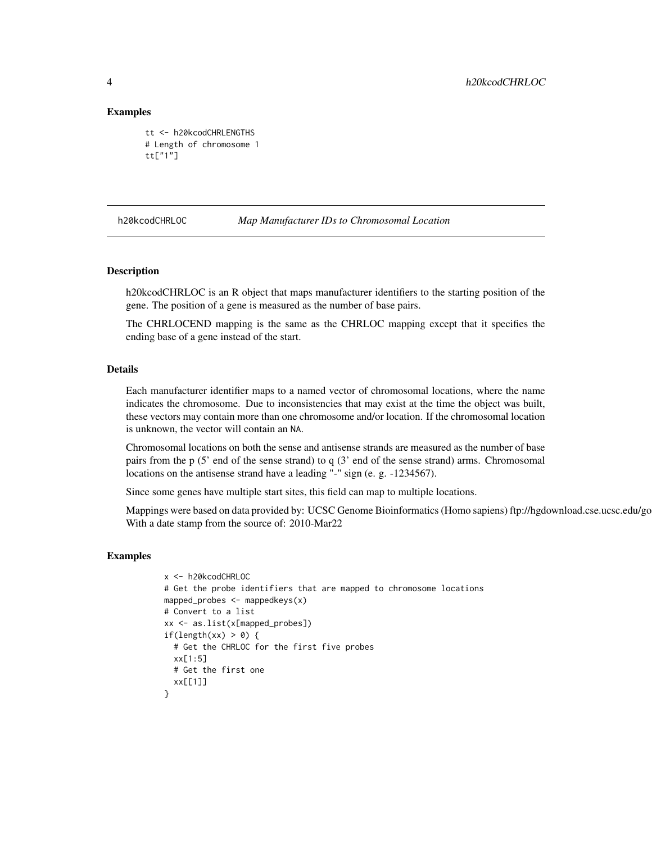## Examples

```
tt <- h20kcodCHRLENGTHS
# Length of chromosome 1
tt["1"]
```

```
h20kcodCHRLOC Map Manufacturer IDs to Chromosomal Location
```
## Description

h20kcodCHRLOC is an R object that maps manufacturer identifiers to the starting position of the gene. The position of a gene is measured as the number of base pairs.

The CHRLOCEND mapping is the same as the CHRLOC mapping except that it specifies the ending base of a gene instead of the start.

# Details

Each manufacturer identifier maps to a named vector of chromosomal locations, where the name indicates the chromosome. Due to inconsistencies that may exist at the time the object was built, these vectors may contain more than one chromosome and/or location. If the chromosomal location is unknown, the vector will contain an NA.

Chromosomal locations on both the sense and antisense strands are measured as the number of base pairs from the p (5' end of the sense strand) to q (3' end of the sense strand) arms. Chromosomal locations on the antisense strand have a leading "-" sign (e. g. -1234567).

Since some genes have multiple start sites, this field can map to multiple locations.

Mappings were based on data provided by: UCSC Genome Bioinformatics (Homo sapiens) ftp://hgdownload.cse.ucsc.edu/go With a date stamp from the source of: 2010-Mar22

```
x <- h20kcodCHRLOC
# Get the probe identifiers that are mapped to chromosome locations
mapped_probes \leq mappedkeys(x)
# Convert to a list
xx <- as.list(x[mapped_probes])
if(length(xx) > 0) {
  # Get the CHRLOC for the first five probes
  xx[1:5]
 # Get the first one
 xx[[1]]
}
```
<span id="page-3-0"></span>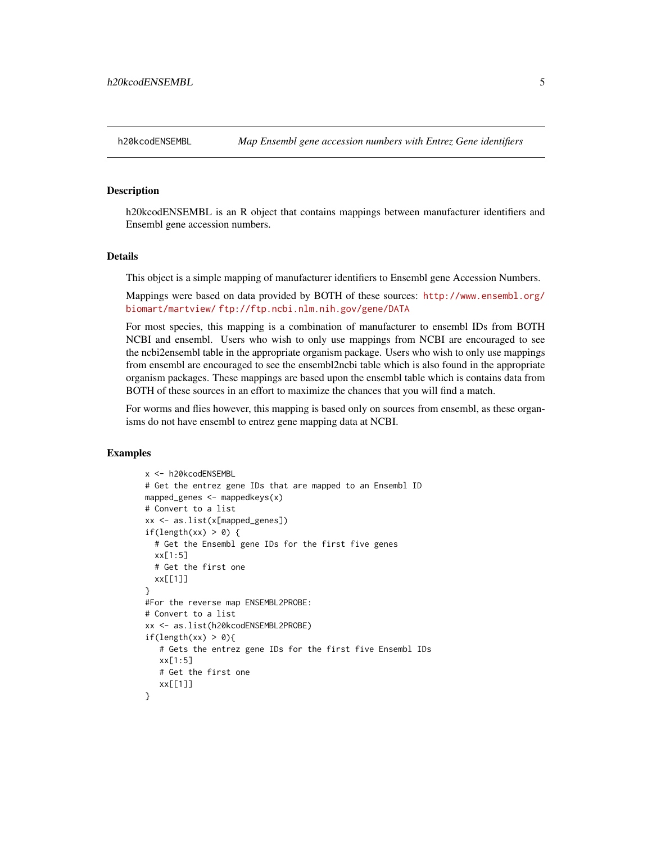<span id="page-4-0"></span>

h20kcodENSEMBL is an R object that contains mappings between manufacturer identifiers and Ensembl gene accession numbers.

# Details

This object is a simple mapping of manufacturer identifiers to Ensembl gene Accession Numbers.

Mappings were based on data provided by BOTH of these sources: [http://www.ensembl.org/](http://www.ensembl.org/biomart/martview/) [biomart/martview/](http://www.ensembl.org/biomart/martview/) <ftp://ftp.ncbi.nlm.nih.gov/gene/DATA>

For most species, this mapping is a combination of manufacturer to ensembl IDs from BOTH NCBI and ensembl. Users who wish to only use mappings from NCBI are encouraged to see the ncbi2ensembl table in the appropriate organism package. Users who wish to only use mappings from ensembl are encouraged to see the ensembl2ncbi table which is also found in the appropriate organism packages. These mappings are based upon the ensembl table which is contains data from BOTH of these sources in an effort to maximize the chances that you will find a match.

For worms and flies however, this mapping is based only on sources from ensembl, as these organisms do not have ensembl to entrez gene mapping data at NCBI.

```
x <- h20kcodENSEMBL
# Get the entrez gene IDs that are mapped to an Ensembl ID
mapped_genes <- mappedkeys(x)
# Convert to a list
xx <- as.list(x[mapped_genes])
if(length(xx) > 0) {
  # Get the Ensembl gene IDs for the first five genes
  xx[1:5]
  # Get the first one
  xx[[1]]
}
#For the reverse map ENSEMBL2PROBE:
# Convert to a list
xx <- as.list(h20kcodENSEMBL2PROBE)
if(length(xx) > 0){
   # Gets the entrez gene IDs for the first five Ensembl IDs
   xx[1:5]
   # Get the first one
   xx[[1]]
}
```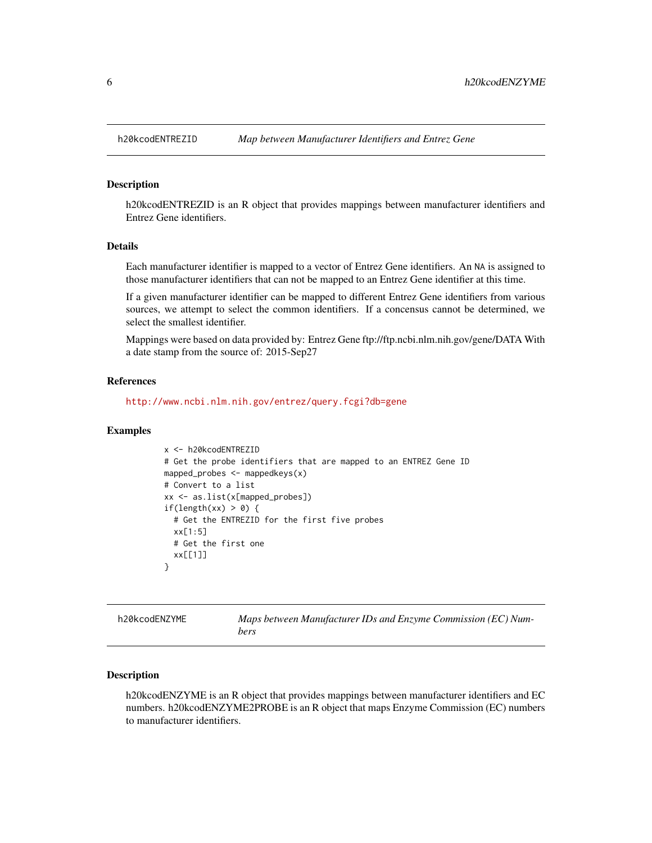<span id="page-5-0"></span>

h20kcodENTREZID is an R object that provides mappings between manufacturer identifiers and Entrez Gene identifiers.

# Details

Each manufacturer identifier is mapped to a vector of Entrez Gene identifiers. An NA is assigned to those manufacturer identifiers that can not be mapped to an Entrez Gene identifier at this time.

If a given manufacturer identifier can be mapped to different Entrez Gene identifiers from various sources, we attempt to select the common identifiers. If a concensus cannot be determined, we select the smallest identifier.

Mappings were based on data provided by: Entrez Gene ftp://ftp.ncbi.nlm.nih.gov/gene/DATA With a date stamp from the source of: 2015-Sep27

## References

<http://www.ncbi.nlm.nih.gov/entrez/query.fcgi?db=gene>

#### Examples

```
x <- h20kcodENTREZID
# Get the probe identifiers that are mapped to an ENTREZ Gene ID
mapped_probes <- mappedkeys(x)
# Convert to a list
xx <- as.list(x[mapped_probes])
if(length(xx) > 0) {
  # Get the ENTREZID for the first five probes
  xx[1:5]
 # Get the first one
  xx[[1]]
}
```

| h20kcodENZYME | Maps between Manufacturer IDs and Enzyme Commission (EC) Num- |
|---------------|---------------------------------------------------------------|
|               | bers                                                          |

# **Description**

h20kcodENZYME is an R object that provides mappings between manufacturer identifiers and EC numbers. h20kcodENZYME2PROBE is an R object that maps Enzyme Commission (EC) numbers to manufacturer identifiers.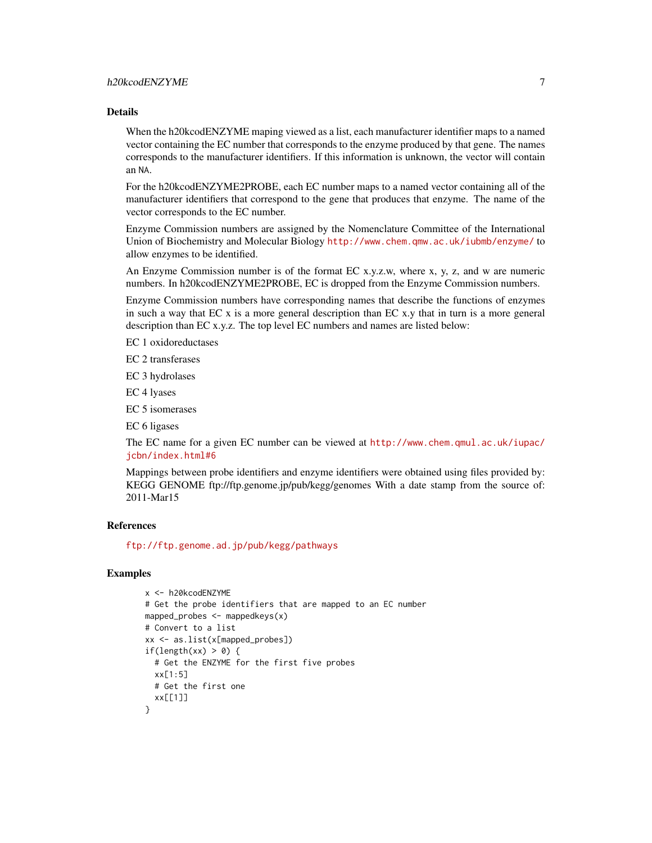# Details

When the h20kcodENZYME maping viewed as a list, each manufacturer identifier maps to a named vector containing the EC number that corresponds to the enzyme produced by that gene. The names corresponds to the manufacturer identifiers. If this information is unknown, the vector will contain an NA.

For the h20kcodENZYME2PROBE, each EC number maps to a named vector containing all of the manufacturer identifiers that correspond to the gene that produces that enzyme. The name of the vector corresponds to the EC number.

Enzyme Commission numbers are assigned by the Nomenclature Committee of the International Union of Biochemistry and Molecular Biology <http://www.chem.qmw.ac.uk/iubmb/enzyme/> to allow enzymes to be identified.

An Enzyme Commission number is of the format EC x.y.z.w, where x, y, z, and w are numeric numbers. In h20kcodENZYME2PROBE, EC is dropped from the Enzyme Commission numbers.

Enzyme Commission numbers have corresponding names that describe the functions of enzymes in such a way that EC x is a more general description than EC x.y that in turn is a more general description than EC x.y.z. The top level EC numbers and names are listed below:

EC 1 oxidoreductases

EC 2 transferases

EC 3 hydrolases

EC 4 lyases

EC 5 isomerases

EC 6 ligases

The EC name for a given EC number can be viewed at [http://www.chem.qmul.ac.uk/iupac/](http://www.chem.qmul.ac.uk/iupac/jcbn/index.html#6) [jcbn/index.html#6](http://www.chem.qmul.ac.uk/iupac/jcbn/index.html#6)

Mappings between probe identifiers and enzyme identifiers were obtained using files provided by: KEGG GENOME ftp://ftp.genome.jp/pub/kegg/genomes With a date stamp from the source of: 2011-Mar15

# References

<ftp://ftp.genome.ad.jp/pub/kegg/pathways>

```
x <- h20kcodENZYME
# Get the probe identifiers that are mapped to an EC number
mapped_probes <- mappedkeys(x)
# Convert to a list
xx <- as.list(x[mapped_probes])
if(length(xx) > 0) {
  # Get the ENZYME for the first five probes
  xx[1:5]
  # Get the first one
  xx[[1]]
}
```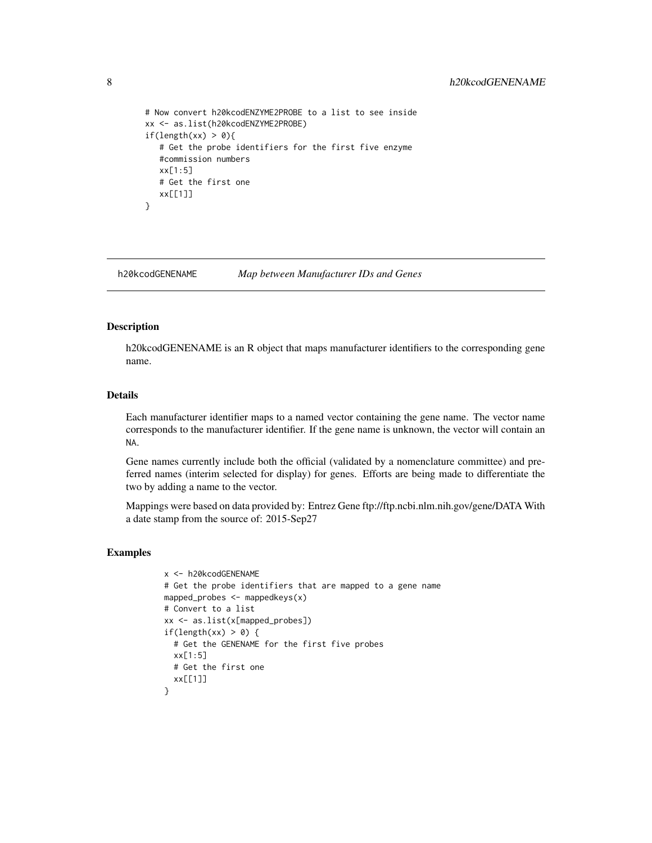```
# Now convert h20kcodENZYME2PROBE to a list to see inside
xx <- as.list(h20kcodENZYME2PROBE)
if(length(xx) > 0){
  # Get the probe identifiers for the first five enzyme
  #commission numbers
  xx[1:5]
  # Get the first one
  xx[[1]]
}
```
h20kcodGENENAME *Map between Manufacturer IDs and Genes*

# Description

h20kcodGENENAME is an R object that maps manufacturer identifiers to the corresponding gene name.

# Details

Each manufacturer identifier maps to a named vector containing the gene name. The vector name corresponds to the manufacturer identifier. If the gene name is unknown, the vector will contain an NA.

Gene names currently include both the official (validated by a nomenclature committee) and preferred names (interim selected for display) for genes. Efforts are being made to differentiate the two by adding a name to the vector.

Mappings were based on data provided by: Entrez Gene ftp://ftp.ncbi.nlm.nih.gov/gene/DATA With a date stamp from the source of: 2015-Sep27

```
x <- h20kcodGENENAME
# Get the probe identifiers that are mapped to a gene name
mapped_probes <- mappedkeys(x)
# Convert to a list
xx <- as.list(x[mapped_probes])
if(length(xx) > 0) {
  # Get the GENENAME for the first five probes
  xx[1:5]
 # Get the first one
 xx[[1]]
}
```
<span id="page-7-0"></span>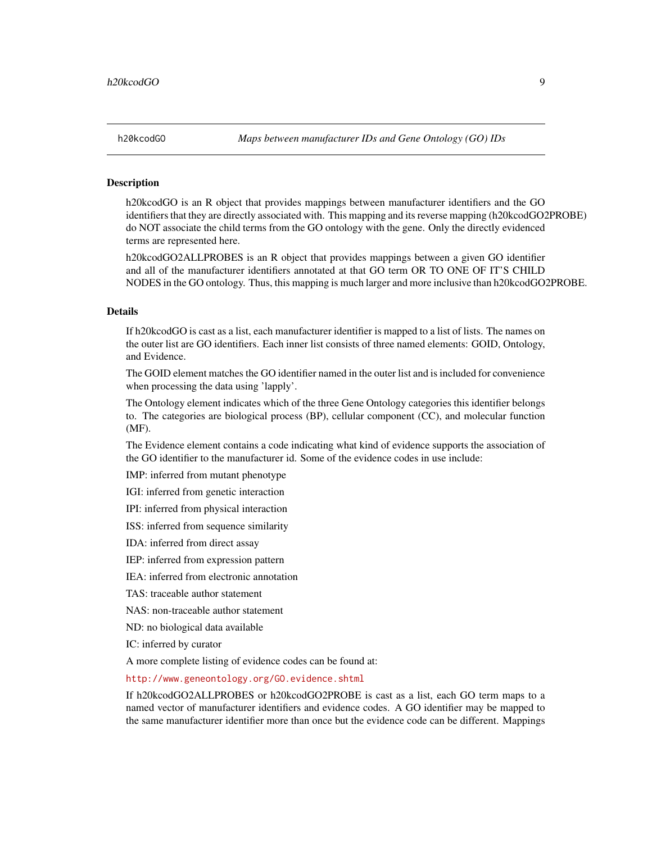<span id="page-8-1"></span><span id="page-8-0"></span>

h20kcodGO is an R object that provides mappings between manufacturer identifiers and the GO identifiers that they are directly associated with. This mapping and its reverse mapping (h20kcodGO2PROBE) do NOT associate the child terms from the GO ontology with the gene. Only the directly evidenced terms are represented here.

h20kcodGO2ALLPROBES is an R object that provides mappings between a given GO identifier and all of the manufacturer identifiers annotated at that GO term OR TO ONE OF IT'S CHILD NODES in the GO ontology. Thus, this mapping is much larger and more inclusive than h20kcodGO2PROBE.

#### Details

If h20kcodGO is cast as a list, each manufacturer identifier is mapped to a list of lists. The names on the outer list are GO identifiers. Each inner list consists of three named elements: GOID, Ontology, and Evidence.

The GOID element matches the GO identifier named in the outer list and is included for convenience when processing the data using 'lapply'.

The Ontology element indicates which of the three Gene Ontology categories this identifier belongs to. The categories are biological process (BP), cellular component (CC), and molecular function (MF).

The Evidence element contains a code indicating what kind of evidence supports the association of the GO identifier to the manufacturer id. Some of the evidence codes in use include:

IMP: inferred from mutant phenotype

IGI: inferred from genetic interaction

IPI: inferred from physical interaction

ISS: inferred from sequence similarity

IDA: inferred from direct assay

IEP: inferred from expression pattern

IEA: inferred from electronic annotation

TAS: traceable author statement

NAS: non-traceable author statement

ND: no biological data available

IC: inferred by curator

A more complete listing of evidence codes can be found at:

<http://www.geneontology.org/GO.evidence.shtml>

If h20kcodGO2ALLPROBES or h20kcodGO2PROBE is cast as a list, each GO term maps to a named vector of manufacturer identifiers and evidence codes. A GO identifier may be mapped to the same manufacturer identifier more than once but the evidence code can be different. Mappings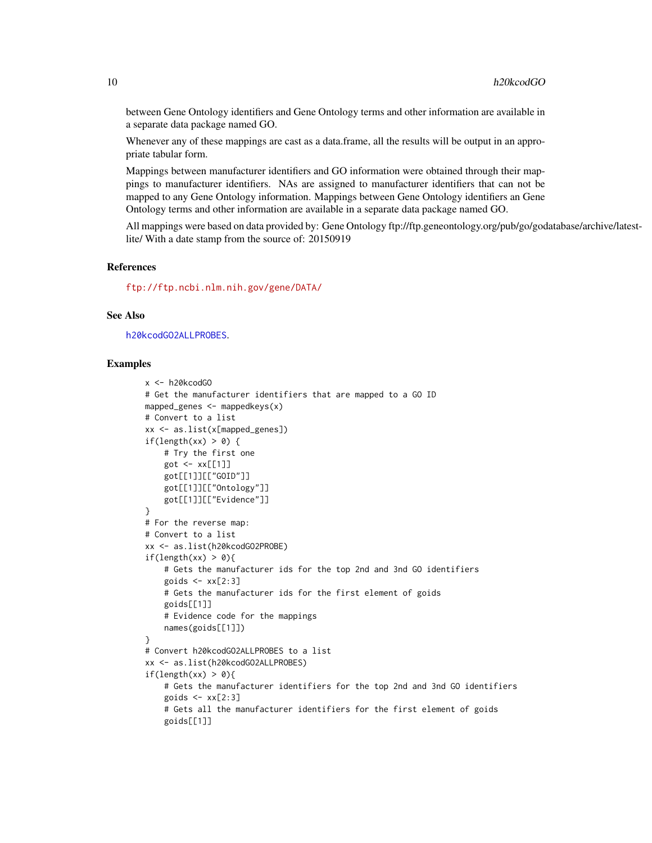between Gene Ontology identifiers and Gene Ontology terms and other information are available in a separate data package named GO.

Whenever any of these mappings are cast as a data.frame, all the results will be output in an appropriate tabular form.

Mappings between manufacturer identifiers and GO information were obtained through their mappings to manufacturer identifiers. NAs are assigned to manufacturer identifiers that can not be mapped to any Gene Ontology information. Mappings between Gene Ontology identifiers an Gene Ontology terms and other information are available in a separate data package named GO.

All mappings were based on data provided by: Gene Ontology ftp://ftp.geneontology.org/pub/go/godatabase/archive/latestlite/ With a date stamp from the source of: 20150919

#### References

<ftp://ftp.ncbi.nlm.nih.gov/gene/DATA/>

#### See Also

[h20kcodGO2ALLPROBES](#page-8-0).

```
x < -h20k\text{cod}G# Get the manufacturer identifiers that are mapped to a GO ID
mapped_genes <- mappedkeys(x)
# Convert to a list
xx <- as.list(x[mapped_genes])
if(length(xx) > 0) {
    # Try the first one
    got <- xx[[1]]
    got[[1]][["GOID"]]
    got[[1]][["Ontology"]]
    got[[1]][["Evidence"]]
}
# For the reverse map:
# Convert to a list
xx <- as.list(h20kcodGO2PROBE)
if(length(xx) > 0){
    # Gets the manufacturer ids for the top 2nd and 3nd GO identifiers
    goids \leq -x \times [2:3]# Gets the manufacturer ids for the first element of goids
    goids[[1]]
    # Evidence code for the mappings
    names(goids[[1]])
}
# Convert h20kcodGO2ALLPROBES to a list
xx <- as.list(h20kcodGO2ALLPROBES)
if(length(xx) > 0){
    # Gets the manufacturer identifiers for the top 2nd and 3nd GO identifiers
    goids \leq -x \times [2:3]# Gets all the manufacturer identifiers for the first element of goids
    goids[[1]]
```
<span id="page-9-0"></span>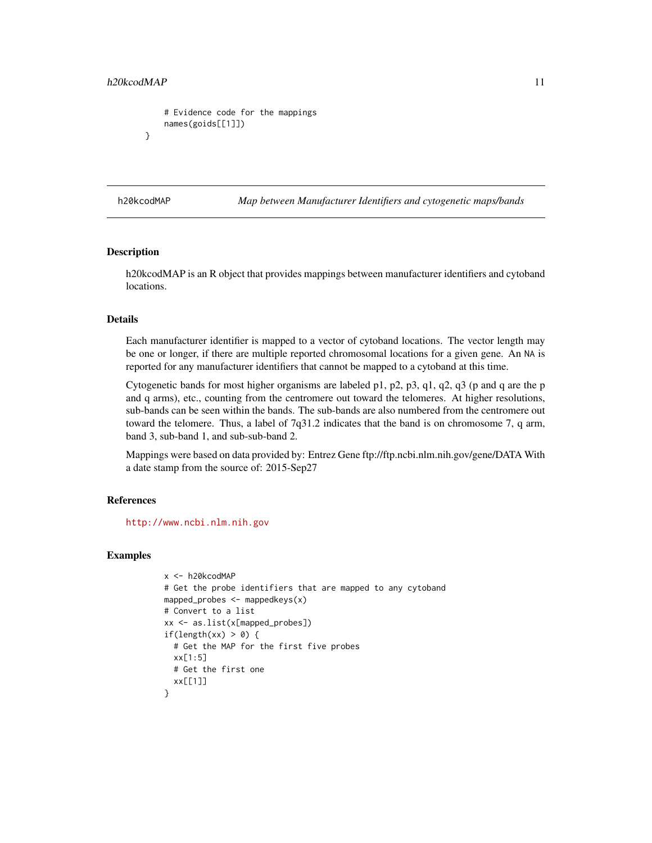```
# Evidence code for the mappings
   names(goids[[1]])
}
```
h20kcodMAP *Map between Manufacturer Identifiers and cytogenetic maps/bands*

## Description

h20kcodMAP is an R object that provides mappings between manufacturer identifiers and cytoband locations.

#### Details

Each manufacturer identifier is mapped to a vector of cytoband locations. The vector length may be one or longer, if there are multiple reported chromosomal locations for a given gene. An NA is reported for any manufacturer identifiers that cannot be mapped to a cytoband at this time.

Cytogenetic bands for most higher organisms are labeled p1, p2, p3, q1, q2, q3 (p and q are the p and q arms), etc., counting from the centromere out toward the telomeres. At higher resolutions, sub-bands can be seen within the bands. The sub-bands are also numbered from the centromere out toward the telomere. Thus, a label of 7q31.2 indicates that the band is on chromosome 7, q arm, band 3, sub-band 1, and sub-sub-band 2.

Mappings were based on data provided by: Entrez Gene ftp://ftp.ncbi.nlm.nih.gov/gene/DATA With a date stamp from the source of: 2015-Sep27

## References

<http://www.ncbi.nlm.nih.gov>

```
x <- h20kcodMAP
# Get the probe identifiers that are mapped to any cytoband
mapped_probes <- mappedkeys(x)
# Convert to a list
xx <- as.list(x[mapped_probes])
if(length(xx) > 0) {
  # Get the MAP for the first five probes
  xx[1:5]
 # Get the first one
 xx[[1]]
}
```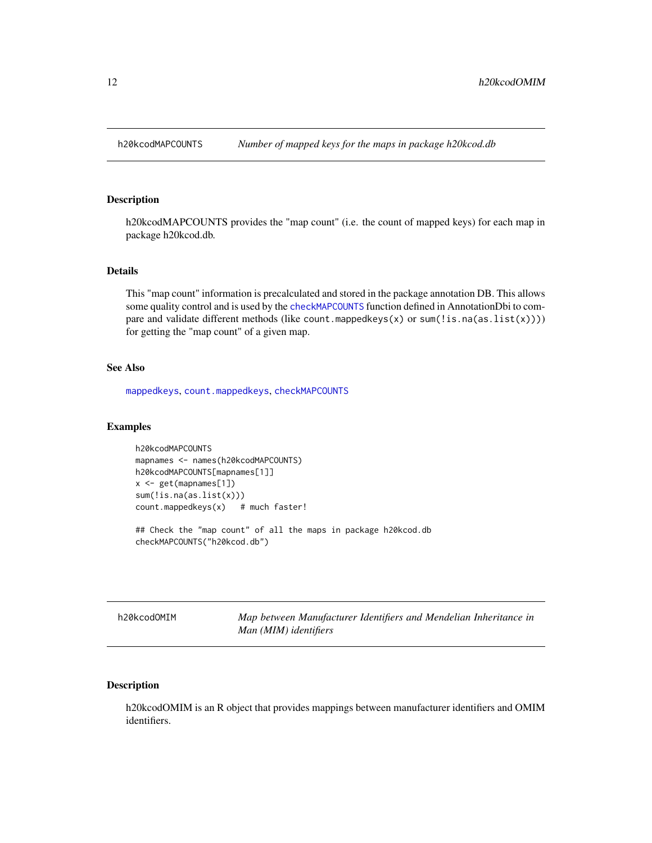<span id="page-11-0"></span>

h20kcodMAPCOUNTS provides the "map count" (i.e. the count of mapped keys) for each map in package h20kcod.db.

# Details

This "map count" information is precalculated and stored in the package annotation DB. This allows some quality control and is used by the [checkMAPCOUNTS](#page-0-0) function defined in AnnotationDbi to compare and validate different methods (like count.mappedkeys(x) or sum(!is.na(as.list(x)))) for getting the "map count" of a given map.

# See Also

[mappedkeys](#page-0-0), [count.mappedkeys](#page-0-0), [checkMAPCOUNTS](#page-0-0)

# Examples

```
h20kcodMAPCOUNTS
mapnames <- names(h20kcodMAPCOUNTS)
h20kcodMAPCOUNTS[mapnames[1]]
x \leq - get(mapnames[1])
sum(!is.na(as.list(x)))
count.mappedkeys(x) # much faster!
```
## Check the "map count" of all the maps in package h20kcod.db checkMAPCOUNTS("h20kcod.db")

Map between Manufacturer Identifiers and Mendelian Inheritance in *Man (MIM) identifiers*

# Description

h20kcodOMIM is an R object that provides mappings between manufacturer identifiers and OMIM identifiers.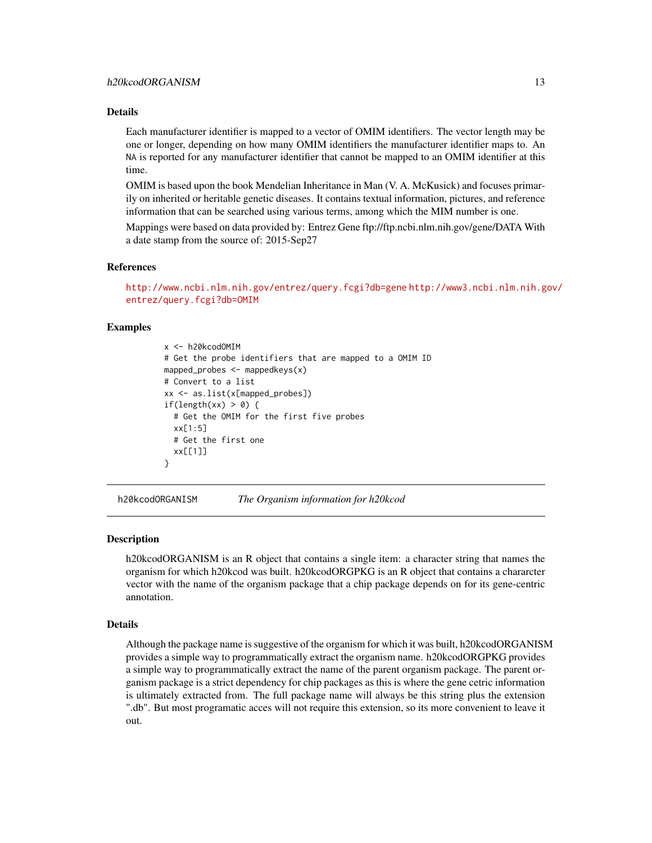#### <span id="page-12-0"></span>Details

Each manufacturer identifier is mapped to a vector of OMIM identifiers. The vector length may be one or longer, depending on how many OMIM identifiers the manufacturer identifier maps to. An NA is reported for any manufacturer identifier that cannot be mapped to an OMIM identifier at this time.

OMIM is based upon the book Mendelian Inheritance in Man (V. A. McKusick) and focuses primarily on inherited or heritable genetic diseases. It contains textual information, pictures, and reference information that can be searched using various terms, among which the MIM number is one.

Mappings were based on data provided by: Entrez Gene ftp://ftp.ncbi.nlm.nih.gov/gene/DATA With a date stamp from the source of: 2015-Sep27

## References

<http://www.ncbi.nlm.nih.gov/entrez/query.fcgi?db=gene> [http://www3.ncbi.nlm.nih.g](http://www3.ncbi.nlm.nih.gov/entrez/query.fcgi?db=OMIM)ov/ [entrez/query.fcgi?db=OMIM](http://www3.ncbi.nlm.nih.gov/entrez/query.fcgi?db=OMIM)

# Examples

```
x <- h20kcodOMIM
# Get the probe identifiers that are mapped to a OMIM ID
mapped_probes <- mappedkeys(x)
# Convert to a list
xx <- as.list(x[mapped_probes])
if(length(xx) > 0) {
  # Get the OMIM for the first five probes
  xx[1:5]
  # Get the first one
  xx[[1]]
}
```
h20kcodORGANISM *The Organism information for h20kcod*

## Description

h20kcodORGANISM is an R object that contains a single item: a character string that names the organism for which h20kcod was built. h20kcodORGPKG is an R object that contains a chararcter vector with the name of the organism package that a chip package depends on for its gene-centric annotation.

#### Details

Although the package name is suggestive of the organism for which it was built, h20kcodORGANISM provides a simple way to programmatically extract the organism name. h20kcodORGPKG provides a simple way to programmatically extract the name of the parent organism package. The parent organism package is a strict dependency for chip packages as this is where the gene cetric information is ultimately extracted from. The full package name will always be this string plus the extension ".db". But most programatic acces will not require this extension, so its more convenient to leave it out.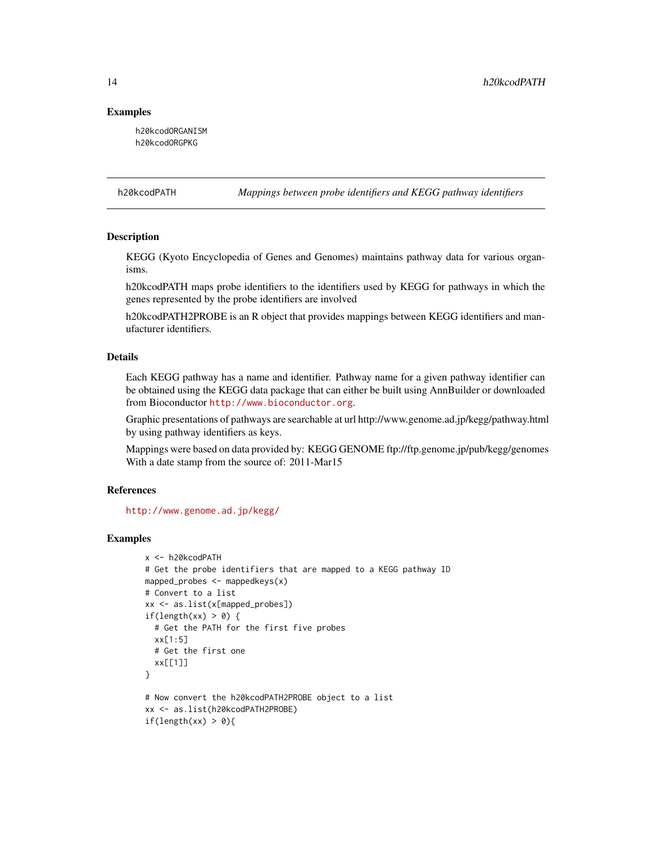# Examples

h20kcodORGANISM h20kcodORGPKG

h20kcodPATH *Mappings between probe identifiers and KEGG pathway identifiers*

# **Description**

KEGG (Kyoto Encyclopedia of Genes and Genomes) maintains pathway data for various organisms.

h20kcodPATH maps probe identifiers to the identifiers used by KEGG for pathways in which the genes represented by the probe identifiers are involved

h20kcodPATH2PROBE is an R object that provides mappings between KEGG identifiers and manufacturer identifiers.

# Details

Each KEGG pathway has a name and identifier. Pathway name for a given pathway identifier can be obtained using the KEGG data package that can either be built using AnnBuilder or downloaded from Bioconductor <http://www.bioconductor.org>.

Graphic presentations of pathways are searchable at url http://www.genome.ad.jp/kegg/pathway.html by using pathway identifiers as keys.

Mappings were based on data provided by: KEGG GENOME ftp://ftp.genome.jp/pub/kegg/genomes With a date stamp from the source of: 2011-Mar15

#### References

<http://www.genome.ad.jp/kegg/>

```
x <- h20kcodPATH
# Get the probe identifiers that are mapped to a KEGG pathway ID
mapped_probes \leq mappedkeys(x)
# Convert to a list
xx <- as.list(x[mapped_probes])
if(length(xx) > 0) {
  # Get the PATH for the first five probes
  xx[1:5]
  # Get the first one
  xx[[1]]
}
# Now convert the h20kcodPATH2PROBE object to a list
xx <- as.list(h20kcodPATH2PROBE)
if(length(xx) > 0){
```
<span id="page-13-0"></span>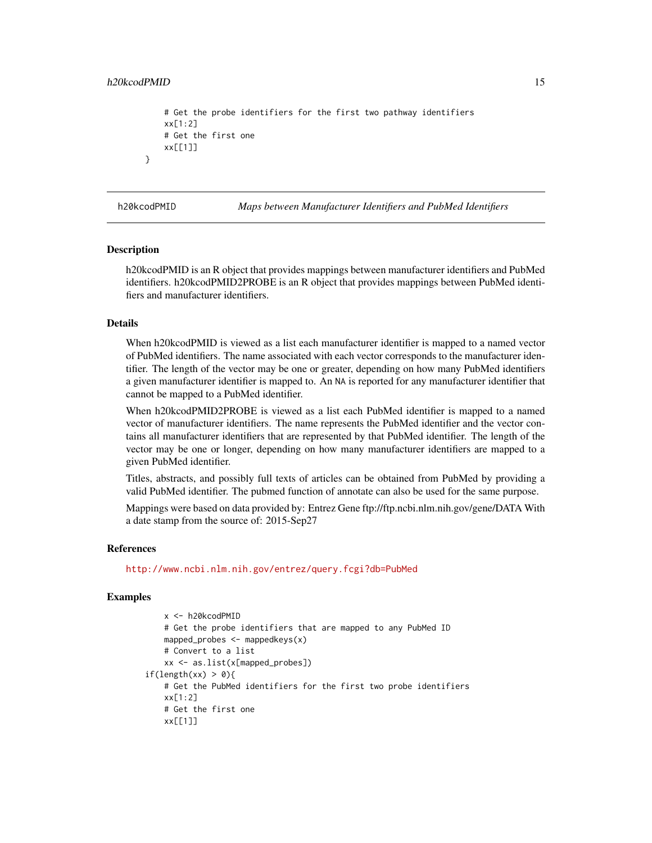# <span id="page-14-0"></span>h20kcodPMID 15

```
# Get the probe identifiers for the first two pathway identifiers
xx[1:2]
# Get the first one
xx[[1]]
```
}

h20kcodPMID *Maps between Manufacturer Identifiers and PubMed Identifiers*

# Description

h20kcodPMID is an R object that provides mappings between manufacturer identifiers and PubMed identifiers. h20kcodPMID2PROBE is an R object that provides mappings between PubMed identifiers and manufacturer identifiers.

# Details

When h20kcodPMID is viewed as a list each manufacturer identifier is mapped to a named vector of PubMed identifiers. The name associated with each vector corresponds to the manufacturer identifier. The length of the vector may be one or greater, depending on how many PubMed identifiers a given manufacturer identifier is mapped to. An NA is reported for any manufacturer identifier that cannot be mapped to a PubMed identifier.

When h20kcodPMID2PROBE is viewed as a list each PubMed identifier is mapped to a named vector of manufacturer identifiers. The name represents the PubMed identifier and the vector contains all manufacturer identifiers that are represented by that PubMed identifier. The length of the vector may be one or longer, depending on how many manufacturer identifiers are mapped to a given PubMed identifier.

Titles, abstracts, and possibly full texts of articles can be obtained from PubMed by providing a valid PubMed identifier. The pubmed function of annotate can also be used for the same purpose.

Mappings were based on data provided by: Entrez Gene ftp://ftp.ncbi.nlm.nih.gov/gene/DATA With a date stamp from the source of: 2015-Sep27

#### References

<http://www.ncbi.nlm.nih.gov/entrez/query.fcgi?db=PubMed>

```
x <- h20kcodPMID
    # Get the probe identifiers that are mapped to any PubMed ID
   mapped_probes \leq mappedkeys(x)
   # Convert to a list
    xx <- as.list(x[mapped_probes])
if(length(xx) > 0){
   # Get the PubMed identifiers for the first two probe identifiers
   xx[1:2]
   # Get the first one
   xx[[1]]
```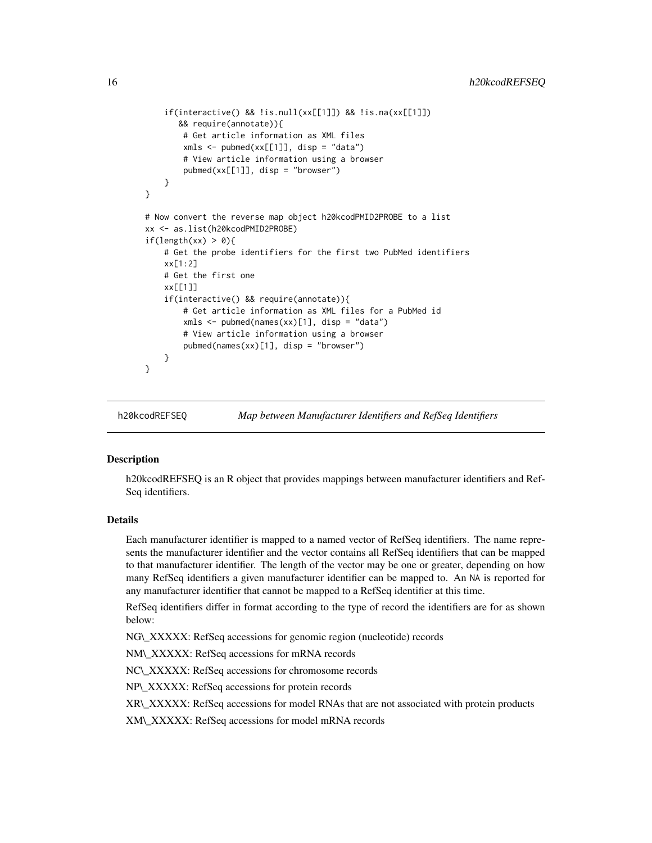```
if(interactive() && !is.null(xx[[1]]) && !is.na(xx[[1]])
      && require(annotate)){
       # Get article information as XML files
       xmls <- pubmed(xx[[1]], disp = "data")
       # View article information using a browser
       pubmed(xx[[1]], disp = "browser")
   }
}
# Now convert the reverse map object h20kcodPMID2PROBE to a list
xx <- as.list(h20kcodPMID2PROBE)
if(length(xx) > 0){
   # Get the probe identifiers for the first two PubMed identifiers
   xx[1:2]
   # Get the first one
   xx[[1]]
   if(interactive() && require(annotate)){
       # Get article information as XML files for a PubMed id
       xmls < - pubmed(names(xx)[1], disp = "data")
       # View article information using a browser
       pubmed(names(xx)[1], disp = "browser")
   }
}
```
h20kcodREFSEQ *Map between Manufacturer Identifiers and RefSeq Identifiers*

# Description

h20kcodREFSEQ is an R object that provides mappings between manufacturer identifiers and Ref-Seq identifiers.

# Details

Each manufacturer identifier is mapped to a named vector of RefSeq identifiers. The name represents the manufacturer identifier and the vector contains all RefSeq identifiers that can be mapped to that manufacturer identifier. The length of the vector may be one or greater, depending on how many RefSeq identifiers a given manufacturer identifier can be mapped to. An NA is reported for any manufacturer identifier that cannot be mapped to a RefSeq identifier at this time.

RefSeq identifiers differ in format according to the type of record the identifiers are for as shown below:

NG\\_XXXXX: RefSeq accessions for genomic region (nucleotide) records

NM\\_XXXXX: RefSeq accessions for mRNA records

NC\\_XXXXX: RefSeq accessions for chromosome records

NP\\_XXXXX: RefSeq accessions for protein records

XR\\_XXXXX: RefSeq accessions for model RNAs that are not associated with protein products

XM\\_XXXXX: RefSeq accessions for model mRNA records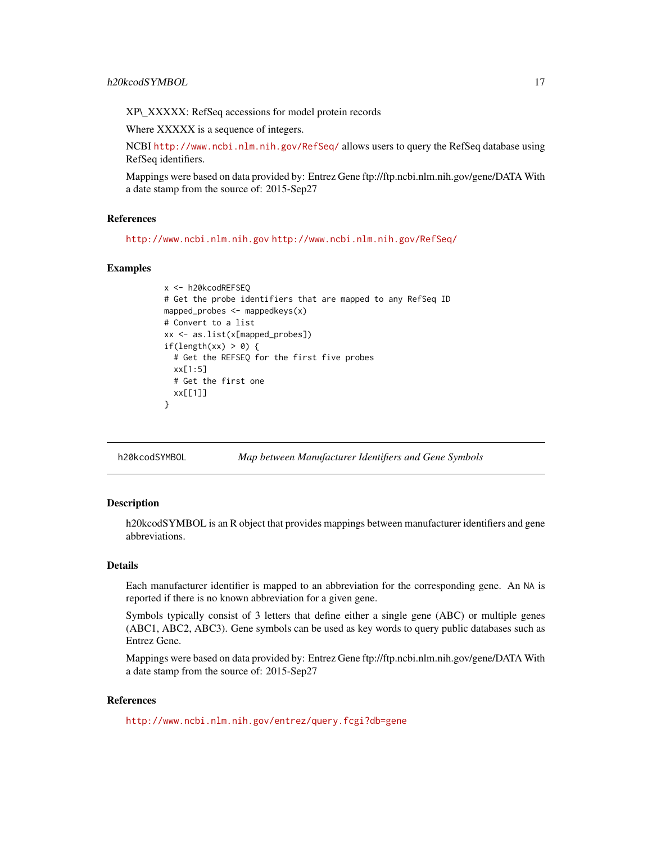<span id="page-16-0"></span>XP\\_XXXXX: RefSeq accessions for model protein records

Where XXXXX is a sequence of integers.

NCBI <http://www.ncbi.nlm.nih.gov/RefSeq/> allows users to query the RefSeq database using RefSeq identifiers.

Mappings were based on data provided by: Entrez Gene ftp://ftp.ncbi.nlm.nih.gov/gene/DATA With a date stamp from the source of: 2015-Sep27

#### References

<http://www.ncbi.nlm.nih.gov> <http://www.ncbi.nlm.nih.gov/RefSeq/>

## Examples

```
x <- h20kcodREFSEQ
# Get the probe identifiers that are mapped to any RefSeq ID
mapped_probes <- mappedkeys(x)
# Convert to a list
xx <- as.list(x[mapped_probes])
if(length(xx) > 0) {
 # Get the REFSEQ for the first five probes
 xx[1:5]
 # Get the first one
 xx[[1]]
}
```
h20kcodSYMBOL *Map between Manufacturer Identifiers and Gene Symbols*

# Description

h20kcodSYMBOL is an R object that provides mappings between manufacturer identifiers and gene abbreviations.

## Details

Each manufacturer identifier is mapped to an abbreviation for the corresponding gene. An NA is reported if there is no known abbreviation for a given gene.

Symbols typically consist of 3 letters that define either a single gene (ABC) or multiple genes (ABC1, ABC2, ABC3). Gene symbols can be used as key words to query public databases such as Entrez Gene.

Mappings were based on data provided by: Entrez Gene ftp://ftp.ncbi.nlm.nih.gov/gene/DATA With a date stamp from the source of: 2015-Sep27

# References

<http://www.ncbi.nlm.nih.gov/entrez/query.fcgi?db=gene>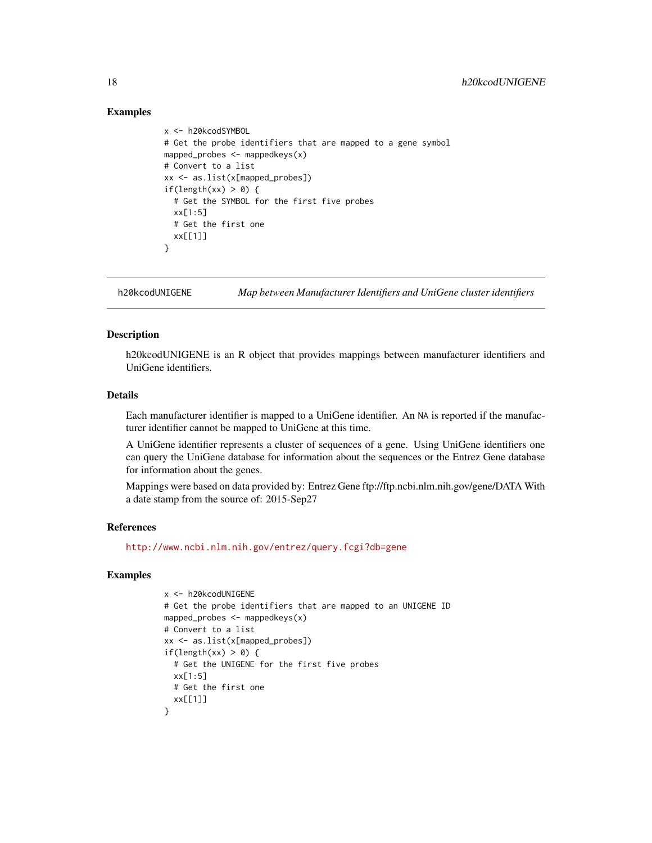## Examples

```
x <- h20kcodSYMBOL
# Get the probe identifiers that are mapped to a gene symbol
mapped_probes \leq mappedkeys(x)
# Convert to a list
xx <- as.list(x[mapped_probes])
if(length(xx) > 0) {
 # Get the SYMBOL for the first five probes
 xx[1:5]
 # Get the first one
 xx[[1]]
}
```
h20kcodUNIGENE *Map between Manufacturer Identifiers and UniGene cluster identifiers*

# **Description**

h20kcodUNIGENE is an R object that provides mappings between manufacturer identifiers and UniGene identifiers.

#### Details

Each manufacturer identifier is mapped to a UniGene identifier. An NA is reported if the manufacturer identifier cannot be mapped to UniGene at this time.

A UniGene identifier represents a cluster of sequences of a gene. Using UniGene identifiers one can query the UniGene database for information about the sequences or the Entrez Gene database for information about the genes.

Mappings were based on data provided by: Entrez Gene ftp://ftp.ncbi.nlm.nih.gov/gene/DATA With a date stamp from the source of: 2015-Sep27

## References

<http://www.ncbi.nlm.nih.gov/entrez/query.fcgi?db=gene>

```
x <- h20kcodUNIGENE
# Get the probe identifiers that are mapped to an UNIGENE ID
mapped_probes <- mappedkeys(x)
# Convert to a list
xx <- as.list(x[mapped_probes])
if(length(xx) > 0) {
 # Get the UNIGENE for the first five probes
 xx[1:5]
 # Get the first one
  xx[[1]]
}
```
<span id="page-17-0"></span>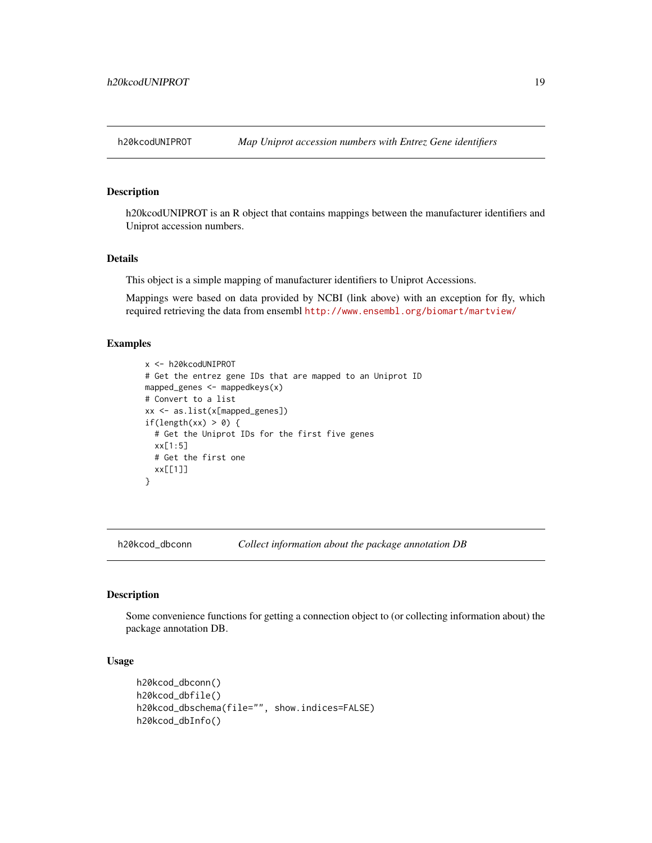<span id="page-18-0"></span>

h20kcodUNIPROT is an R object that contains mappings between the manufacturer identifiers and Uniprot accession numbers.

# Details

This object is a simple mapping of manufacturer identifiers to Uniprot Accessions.

Mappings were based on data provided by NCBI (link above) with an exception for fly, which required retrieving the data from ensembl <http://www.ensembl.org/biomart/martview/>

## Examples

```
x <- h20kcodUNIPROT
# Get the entrez gene IDs that are mapped to an Uniprot ID
mapped_genes \leq mappedkeys(x)
# Convert to a list
xx <- as.list(x[mapped_genes])
if(length(xx) > 0) {
  # Get the Uniprot IDs for the first five genes
  xx[1:5]
  # Get the first one
  xx[[1]]
}
```
h20kcod\_dbconn *Collect information about the package annotation DB*

#### Description

Some convenience functions for getting a connection object to (or collecting information about) the package annotation DB.

# Usage

```
h20kcod_dbconn()
h20kcod_dbfile()
h20kcod_dbschema(file="", show.indices=FALSE)
h20kcod_dbInfo()
```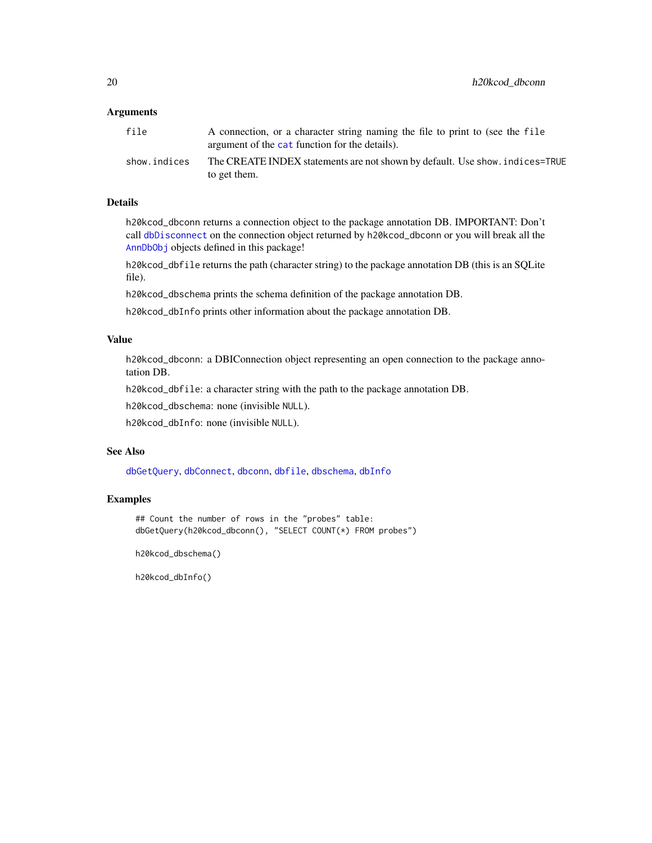## <span id="page-19-0"></span>Arguments

| file         | A connection, or a character string naming the file to print to (see the file<br>argument of the cat function for the details). |
|--------------|---------------------------------------------------------------------------------------------------------------------------------|
| show.indices | The CREATE INDEX statements are not shown by default. Use show, indices=TRUE<br>to get them.                                    |

# Details

h20kcod\_dbconn returns a connection object to the package annotation DB. IMPORTANT: Don't call [dbDisconnect](#page-0-0) on the connection object returned by h20kcod\_dbconn or you will break all the [AnnDbObj](#page-0-0) objects defined in this package!

h20kcod\_dbfile returns the path (character string) to the package annotation DB (this is an SQLite file).

h20kcod\_dbschema prints the schema definition of the package annotation DB.

h20kcod\_dbInfo prints other information about the package annotation DB.

## Value

h20kcod\_dbconn: a DBIConnection object representing an open connection to the package annotation DB.

h20kcod\_dbfile: a character string with the path to the package annotation DB.

h20kcod\_dbschema: none (invisible NULL).

h20kcod\_dbInfo: none (invisible NULL).

# See Also

[dbGetQuery](#page-0-0), [dbConnect](#page-0-0), [dbconn](#page-0-0), [dbfile](#page-0-0), [dbschema](#page-0-0), [dbInfo](#page-0-0)

# Examples

## Count the number of rows in the "probes" table: dbGetQuery(h20kcod\_dbconn(), "SELECT COUNT(\*) FROM probes")

h20kcod\_dbschema()

h20kcod\_dbInfo()